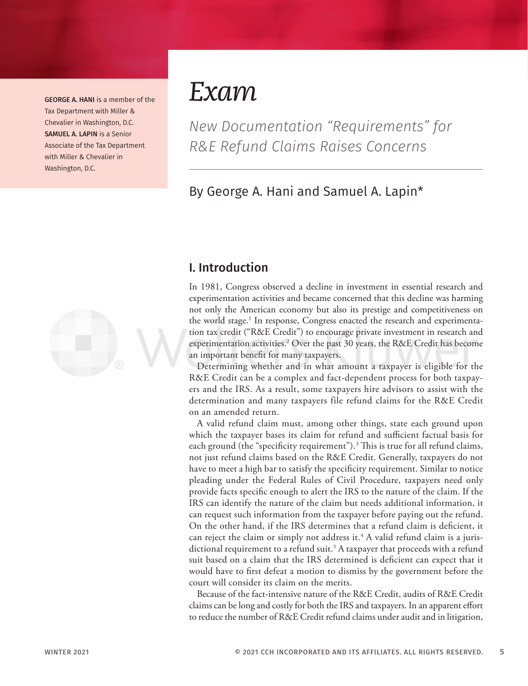GEORGE A. HANI is a member of the Tax Department with Miller & Chevalier in Washington, D.C. SAMUEL A. LAPIN is a Senior Associate of the Tax Department with Miller & Chevalier in Washington, D.C.



## *Exam*

*New Documentation "Requirements" for R&E Refund Claims Raises Concerns*

### By George A. Hani and Samuel A. Lapin\*

#### I. Introduction

In 1981, Congress observed a decline in investment in essential research and experimentation activities and became concerned that this decline was harming not only the American economy but also its prestige and competitiveness on the world stage.1 In response, Congress enacted the research and experimentation tax credit ("R&E Credit") to encourage private investment in research and experimentation activities.<sup>2</sup> Over the past 30 years, the R&E Credit has become an important benefit for many taxpayers.

Determining whether and in what amount a taxpayer is eligible for the R&E Credit can be a complex and fact-dependent process for both taxpayers and the IRS. As a result, some taxpayers hire advisors to assist with the determination and many taxpayers file refund claims for the R&E Credit on an amended return.

A valid refund claim must, among other things, state each ground upon which the taxpayer bases its claim for refund and sufficient factual basis for each ground (the "specificity requirement").<sup>3</sup> This is true for all refund claims, not just refund claims based on the R&E Credit. Generally, taxpayers do not have to meet a high bar to satisfy the specificity requirement. Similar to notice pleading under the Federal Rules of Civil Procedure, taxpayers need only provide facts specific enough to alert the IRS to the nature of the claim. If the IRS can identify the nature of the claim but needs additional information, it can request such information from the taxpayer before paying out the refund. On the other hand, if the IRS determines that a refund claim is deficient, it can reject the claim or simply not address it. $^4$  A valid refund claim is a jurisdictional requirement to a refund suit.<sup>5</sup> A taxpayer that proceeds with a refund suit based on a claim that the IRS determined is deficient can expect that it would have to first defeat a motion to dismiss by the government before the court will consider its claim on the merits.

Because of the fact-intensive nature of the R&E Credit, audits of R&E Credit claims can be long and costly for both the IRS and taxpayers. In an apparent effort to reduce the number of R&E Credit refund claims under audit and in litigation,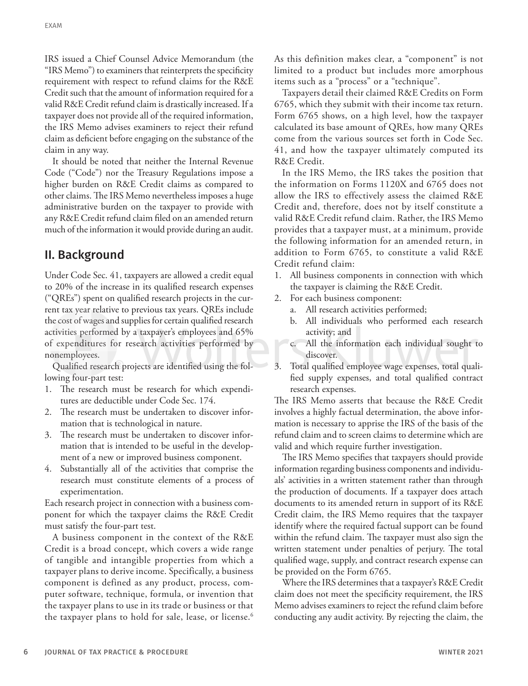IRS issued a Chief Counsel Advice Memorandum (the "IRS Memo") to examiners that reinterprets the specificity requirement with respect to refund claims for the R&E Credit such that the amount of information required for a valid R&E Credit refund claim is drastically increased. If a taxpayer does not provide all of the required information, the IRS Memo advises examiners to reject their refund claim as deficient before engaging on the substance of the claim in any way.

It should be noted that neither the Internal Revenue Code ("Code") nor the Treasury Regulations impose a higher burden on R&E Credit claims as compared to other claims. The IRS Memo nevertheless imposes a huge administrative burden on the taxpayer to provide with any R&E Credit refund claim filed on an amended return much of the information it would provide during an audit.

#### II. Background

Under Code Sec. 41, taxpayers are allowed a credit equal to 20% of the increase in its qualified research expenses ("QREs") spent on qualified research projects in the current tax year relative to previous tax years. QREs include the cost of wages and supplies for certain qualified research activities performed by a taxpayer's employees and 65% of expenditures for research activities performed by nonemployees.

Qualified research projects are identified using the following four-part test:

- 1. The research must be research for which expenditures are deductible under Code Sec. 174.
- 2. The research must be undertaken to discover information that is technological in nature.
- 3. The research must be undertaken to discover information that is intended to be useful in the development of a new or improved business component.
- 4. Substantially all of the activities that comprise the research must constitute elements of a process of experimentation.

Each research project in connection with a business component for which the taxpayer claims the R&E Credit must satisfy the four-part test.

A business component in the context of the R&E Credit is a broad concept, which covers a wide range of tangible and intangible properties from which a taxpayer plans to derive income. Specifically, a business component is defined as any product, process, computer software, technique, formula, or invention that the taxpayer plans to use in its trade or business or that the taxpayer plans to hold for sale, lease, or license.<sup>6</sup> As this definition makes clear, a "component" is not limited to a product but includes more amorphous items such as a "process" or a "technique".

Taxpayers detail their claimed R&E Credits on Form 6765, which they submit with their income tax return. Form 6765 shows, on a high level, how the taxpayer calculated its base amount of QREs, how many QREs come from the various sources set forth in Code Sec. 41, and how the taxpayer ultimately computed its R&E Credit.

In the IRS Memo, the IRS takes the position that the information on Forms 1120X and 6765 does not allow the IRS to effectively assess the claimed R&E Credit and, therefore, does not by itself constitute a valid R&E Credit refund claim. Rather, the IRS Memo provides that a taxpayer must, at a minimum, provide the following information for an amended return, in addition to Form 6765, to constitute a valid R&E Credit refund claim:

- 1. All business components in connection with which the taxpayer is claiming the R&E Credit.
- 2. For each business component:
	- a. All research activities performed;
	- b. All individuals who performed each research activity; and
	- c. All the information each individual sought to discover.
- 3. Total qualified employee wage expenses, total qualified supply expenses, and total qualified contract research expenses.

The IRS Memo asserts that because the R&E Credit involves a highly factual determination, the above information is necessary to apprise the IRS of the basis of the refund claim and to screen claims to determine which are valid and which require further investigation.

The IRS Memo specifies that taxpayers should provide information regarding business components and individuals' activities in a written statement rather than through the production of documents. If a taxpayer does attach documents to its amended return in support of its R&E Credit claim, the IRS Memo requires that the taxpayer identify where the required factual support can be found within the refund claim. The taxpayer must also sign the written statement under penalties of perjury. The total qualified wage, supply, and contract research expense can be provided on the Form 6765.

Where the IRS determines that a taxpayer's R&E Credit claim does not meet the specificity requirement, the IRS Memo advises examiners to reject the refund claim before conducting any audit activity. By rejecting the claim, the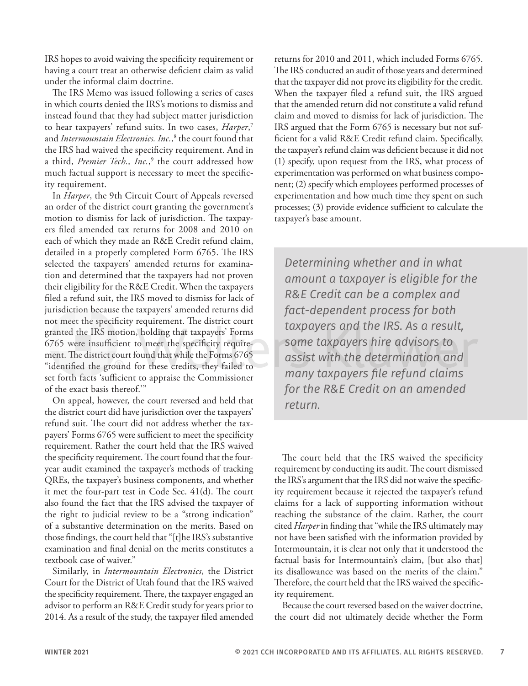IRS hopes to avoid waiving the specificity requirement or having a court treat an otherwise deficient claim as valid under the informal claim doctrine.

The IRS Memo was issued following a series of cases in which courts denied the IRS's motions to dismiss and instead found that they had subject matter jurisdiction to hear taxpayers' refund suits. In two cases, *Harper*, 7 and *Intermountain Electronics. Inc.*, 8 the court found that the IRS had waived the specificity requirement. And in a third, *Premier Tech., Inc.*, 9 the court addressed how much factual support is necessary to meet the specificity requirement.

In *Harper*, the 9th Circuit Court of Appeals reversed an order of the district court granting the government's motion to dismiss for lack of jurisdiction. The taxpayers filed amended tax returns for 2008 and 2010 on each of which they made an R&E Credit refund claim, detailed in a properly completed Form 6765. The IRS selected the taxpayers' amended returns for examination and determined that the taxpayers had not proven their eligibility for the R&E Credit. When the taxpayers filed a refund suit, the IRS moved to dismiss for lack of jurisdiction because the taxpayers' amended returns did not meet the specificity requirement. The district court granted the IRS motion, holding that taxpayers' Forms 6765 were insufficient to meet the specificity requirement. The district court found that while the Forms 6765 "identified the ground for these credits, they failed to set forth facts 'sufficient to appraise the Commissioner of the exact basis thereof.'"

On appeal, however, the court reversed and held that the district court did have jurisdiction over the taxpayers' refund suit. The court did not address whether the taxpayers' Forms 6765 were sufficient to meet the specificity requirement. Rather the court held that the IRS waived the specificity requirement. The court found that the fouryear audit examined the taxpayer's methods of tracking QREs, the taxpayer's business components, and whether it met the four-part test in Code Sec. 41(d). The court also found the fact that the IRS advised the taxpayer of the right to judicial review to be a "strong indication" of a substantive determination on the merits. Based on those findings, the court held that "[t]he IRS's substantive examination and final denial on the merits constitutes a textbook case of waiver."

Similarly, in *Intermountain Electronics*, the District Court for the District of Utah found that the IRS waived the specificity requirement. There, the taxpayer engaged an advisor to perform an R&E Credit study for years prior to 2014. As a result of the study, the taxpayer filed amended

returns for 2010 and 2011, which included Forms 6765. The IRS conducted an audit of those years and determined that the taxpayer did not prove its eligibility for the credit. When the taxpayer filed a refund suit, the IRS argued that the amended return did not constitute a valid refund claim and moved to dismiss for lack of jurisdiction. The IRS argued that the Form 6765 is necessary but not sufficient for a valid R&E Credit refund claim. Specifically, the taxpayer's refund claim was deficient because it did not (1) specify, upon request from the IRS, what process of experimentation was performed on what business component; (2) specify which employees performed processes of experimentation and how much time they spent on such processes; (3) provide evidence sufficient to calculate the taxpayer's base amount.

*Determining whether and in what amount a taxpayer is eligible for the R&E Credit can be a complex and fact-dependent process for both taxpayers and the IRS. As a result, some taxpayers hire advisors to assist with the determination and many taxpayers file refund claims for the R&E Credit on an amended return.*

The court held that the IRS waived the specificity requirement by conducting its audit. The court dismissed the IRS's argument that the IRS did not waive the specificity requirement because it rejected the taxpayer's refund claims for a lack of supporting information without reaching the substance of the claim. Rather, the court cited *Harper* in finding that "while the IRS ultimately may not have been satisfied with the information provided by Intermountain, it is clear not only that it understood the factual basis for Intermountain's claim, [but also that] its disallowance was based on the merits of the claim." Therefore, the court held that the IRS waived the specificity requirement.

Because the court reversed based on the waiver doctrine, the court did not ultimately decide whether the Form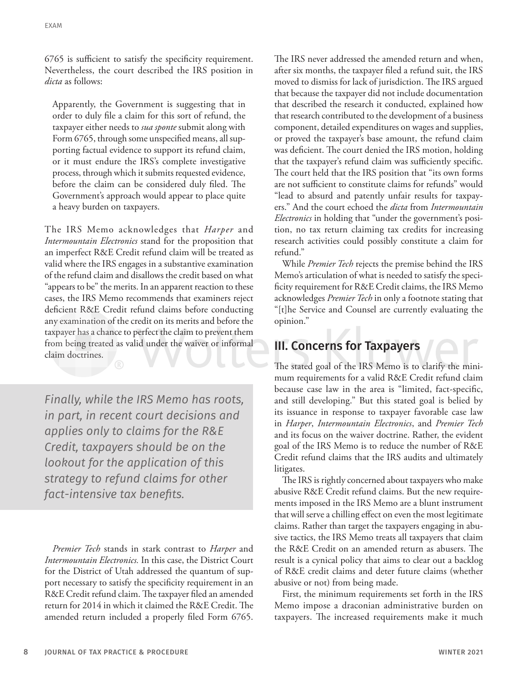6765 is sufficient to satisfy the specificity requirement. Nevertheless, the court described the IRS position in *dicta* as follows:

Apparently, the Government is suggesting that in order to duly file a claim for this sort of refund, the taxpayer either needs to *sua sponte* submit along with Form 6765, through some unspecified means, all supporting factual evidence to support its refund claim, or it must endure the IRS's complete investigative process, through which it submits requested evidence, before the claim can be considered duly filed. The Government's approach would appear to place quite a heavy burden on taxpayers.

The IRS Memo acknowledges that *Harper* and *Intermountain Electronics* stand for the proposition that an imperfect R&E Credit refund claim will be treated as valid where the IRS engages in a substantive examination of the refund claim and disallows the credit based on what "appears to be" the merits. In an apparent reaction to these cases, the IRS Memo recommends that examiners reject deficient R&E Credit refund claims before conducting any examination of the credit on its merits and before the taxpayer has a chance to perfect the claim to prevent them from being treated as valid under the waiver or informal claim doctrines.

*Finally, while the IRS Memo has roots, in part, in recent court decisions and applies only to claims for the R&E Credit, taxpayers should be on the lookout for the application of this strategy to refund claims for other fact-intensive tax benefits.*

*Premier Tech* stands in stark contrast to *Harper* and *Intermountain Electronics.* In this case, the District Court for the District of Utah addressed the quantum of support necessary to satisfy the specificity requirement in an R&E Credit refund claim. The taxpayer filed an amended return for 2014 in which it claimed the R&E Credit. The amended return included a properly filed Form 6765.

The IRS never addressed the amended return and when, after six months, the taxpayer filed a refund suit, the IRS moved to dismiss for lack of jurisdiction. The IRS argued that because the taxpayer did not include documentation that described the research it conducted, explained how that research contributed to the development of a business component, detailed expenditures on wages and supplies, or proved the taxpayer's base amount, the refund claim was deficient. The court denied the IRS motion, holding that the taxpayer's refund claim was sufficiently specific. The court held that the IRS position that "its own forms are not sufficient to constitute claims for refunds" would "lead to absurd and patently unfair results for taxpayers." And the court echoed the *dicta* from *Intermountain Electronics* in holding that "under the government's position, no tax return claiming tax credits for increasing research activities could possibly constitute a claim for refund."

While *Premier Tech* rejects the premise behind the IRS Memo's articulation of what is needed to satisfy the specificity requirement for R&E Credit claims, the IRS Memo acknowledges *Premier Tech* in only a footnote stating that "[t]he Service and Counsel are currently evaluating the opinion."

#### III. Concerns for Taxpayers

The stated goal of the IRS Memo is to clarify the minimum requirements for a valid R&E Credit refund claim because case law in the area is "limited, fact-specific, and still developing." But this stated goal is belied by its issuance in response to taxpayer favorable case law in *Harper*, *Intermountain Electronics*, and *Premier Tech* and its focus on the waiver doctrine. Rather, the evident goal of the IRS Memo is to reduce the number of R&E Credit refund claims that the IRS audits and ultimately litigates.

The IRS is rightly concerned about taxpayers who make abusive R&E Credit refund claims. But the new requirements imposed in the IRS Memo are a blunt instrument that will serve a chilling effect on even the most legitimate claims. Rather than target the taxpayers engaging in abusive tactics, the IRS Memo treats all taxpayers that claim the R&E Credit on an amended return as abusers. The result is a cynical policy that aims to clear out a backlog of R&E credit claims and deter future claims (whether abusive or not) from being made.

First, the minimum requirements set forth in the IRS Memo impose a draconian administrative burden on taxpayers. The increased requirements make it much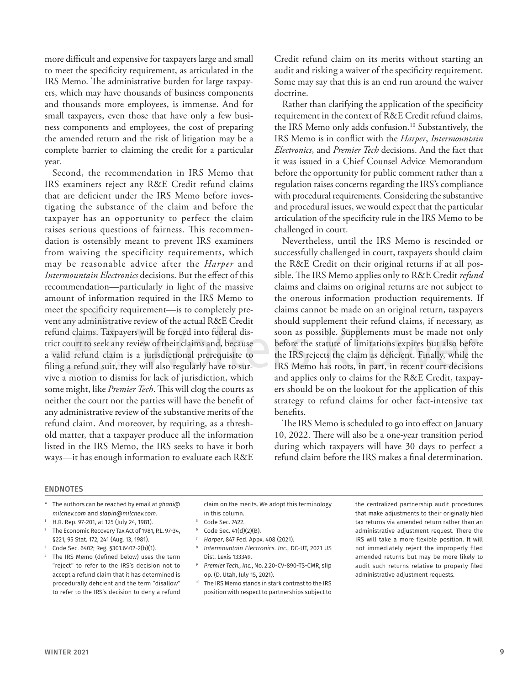more difficult and expensive for taxpayers large and small to meet the specificity requirement, as articulated in the IRS Memo. The administrative burden for large taxpayers, which may have thousands of business components and thousands more employees, is immense. And for small taxpayers, even those that have only a few business components and employees, the cost of preparing the amended return and the risk of litigation may be a complete barrier to claiming the credit for a particular year.

Second, the recommendation in IRS Memo that IRS examiners reject any R&E Credit refund claims that are deficient under the IRS Memo before investigating the substance of the claim and before the taxpayer has an opportunity to perfect the claim raises serious questions of fairness. This recommendation is ostensibly meant to prevent IRS examiners from waiving the specificity requirements, which may be reasonable advice after the *Harper* and *Intermountain Electronics* decisions. But the effect of this recommendation—particularly in light of the massive amount of information required in the IRS Memo to meet the specificity requirement—is to completely prevent any administrative review of the actual R&E Credit refund claims. Taxpayers will be forced into federal district court to seek any review of their claims and, because a valid refund claim is a jurisdictional prerequisite to filing a refund suit, they will also regularly have to survive a motion to dismiss for lack of jurisdiction, which some might, like *Premier Tech*. This will clog the courts as neither the court nor the parties will have the benefit of any administrative review of the substantive merits of the refund claim. And moreover, by requiring, as a threshold matter, that a taxpayer produce all the information listed in the IRS Memo, the IRS seeks to have it both ways—it has enough information to evaluate each R&E Credit refund claim on its merits without starting an audit and risking a waiver of the specificity requirement. Some may say that this is an end run around the waiver doctrine.

Rather than clarifying the application of the specificity requirement in the context of R&E Credit refund claims, the IRS Memo only adds confusion.<sup>10</sup> Substantively, the IRS Memo is in conflict with the *Harper*, *Intermountain Electronics*, and *Premier Tech* decisions. And the fact that it was issued in a Chief Counsel Advice Memorandum before the opportunity for public comment rather than a regulation raises concerns regarding the IRS's compliance with procedural requirements. Considering the substantive and procedural issues, we would expect that the particular articulation of the specificity rule in the IRS Memo to be challenged in court.

Nevertheless, until the IRS Memo is rescinded or successfully challenged in court, taxpayers should claim the R&E Credit on their original returns if at all possible. The IRS Memo applies only to R&E Credit *refund* claims and claims on original returns are not subject to the onerous information production requirements. If claims cannot be made on an original return, taxpayers should supplement their refund claims, if necessary, as soon as possible. Supplements must be made not only before the statute of limitations expires but also before the IRS rejects the claim as deficient. Finally, while the IRS Memo has roots, in part, in recent court decisions and applies only to claims for the R&E Credit, taxpayers should be on the lookout for the application of this strategy to refund claims for other fact-intensive tax benefits.

The IRS Memo is scheduled to go into effect on January 10, 2022. There will also be a one-year transition period during which taxpayers will have 30 days to perfect a refund claim before the IRS makes a final determination.

#### ENDNOTES

- \* The authors can be reached by email at *ghani@ milchev.com* and *slapin@milchev.com*.
- <sup>1</sup> H.R. Rep. 97-201, at 125 (July 24, 1981).
- <sup>2</sup> The Economic Recovery Tax Act of 1981, P.L. 97-34, §221, 95 Stat. 172, 241 (Aug. 13, 1981).
- <sup>3</sup> Code Sec. 6402; Reg. §301.6402-2(b)(1).
- <sup>4</sup> The IRS Memo (defined below) uses the term "reject" to refer to the IRS's decision not to accept a refund claim that it has determined is procedurally deficient and the term "disallow" to refer to the IRS's decision to deny a refund

claim on the merits. We adopt this terminology in this column.

- Code Sec. 7422.
- Code Sec. 41(d)(2)(B).
- <sup>7</sup> *Harper*, 847 Fed. Appx. 408 (2021).
- <sup>8</sup> *Intermountain Electronics. Inc.*, DC-UT, 2021 US Dist. Lexis 133349.
- <sup>9</sup> *Premier Tech., Inc.*, No. 2:20-CV-890-TS-CMR, slip op. (D. Utah, July 15, 2021).
- <sup>10</sup> The IRS Memo stands in stark contrast to the IRS position with respect to partnerships subject to

the centralized partnership audit procedures that make adjustments to their originally filed tax returns via amended return rather than an administrative adjustment request. There the IRS will take a more flexible position. It will not immediately reject the improperly filed amended returns but may be more likely to audit such returns relative to properly filed administrative adjustment requests.